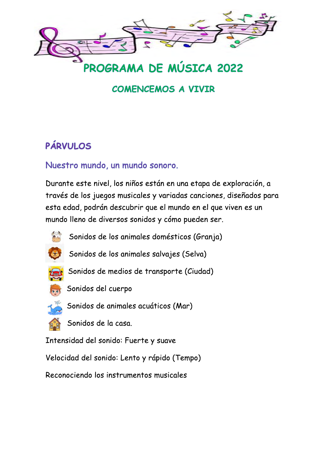

PROGRAMA DE MÚSICA 2022

### **COMENCEMOS A VIVIR**

# **PÁRVULOS**

#### Nuestro mundo, un mundo sonoro.

Durante este nivel, los niños están en una etapa de exploración, a través de los juegos musicales y variadas canciones, diseñados para esta edad, podrán descubrir que el mundo en el que viven es un mundo lleno de diversos sonidos y cómo pueden ser.



Sonidos de los animales domésticos (Granja)



Sonidos de los animales salvajes (Selva)



Sonidos de medios de transporte (Ciudad)



Sonidos del cuerpo

Sonidos de animales acuáticos (Mar)



Intensidad del sonido: Fuerte y suave

Velocidad del sonido: Lento y rápido (Tempo)

Reconociendo los instrumentos musicales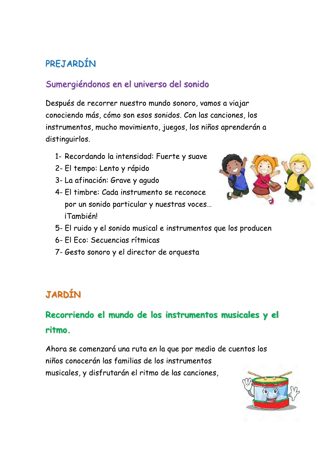# PREJARDÍN

#### Sumergiéndonos en el universo del sonido

Después de recorrer nuestro mundo sonoro, vamos a viajar conociendo más, cómo son esos sonidos. Con las canciones, los instrumentos, mucho movimiento, juegos, los niños aprenderán a distinguirlos.

- 1- Recordando la intensidad: Fuerte y suave
- 2- El tempo: Lento y rápido
- 3- La afinación: Grave y agudo
- 4- El timbre: Cada instrumento se reconoce por un sonido particular y nuestras voces... iTambién!



- 5- El ruido y el sonido musical e instrumentos que los producen
- 6- FI Fco: Secuencias rítmicas
- 7- Gesto sonoro y el director de orquesta

## **JARDÍN**

## Recorriendo el mundo de los instrumentos musicales y el ritmo.

Ahora se comenzará una ruta en la que por medio de cuentos los niños conocerán las familias de los instrumentos musicales, y disfrutarán el ritmo de las canciones,

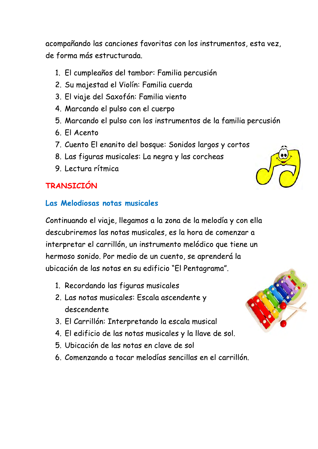acompañando las canciones favoritas con los instrumentos, esta vez, de forma más estructurada.

- 1. El cumpleaños del tambor: Familia percusión
- 2. Su majestad el Violín: Familia cuerda
- 3. El viaje del Saxofón: Familia viento
- 4. Marcando el pulso con el cuerpo
- 5. Marcando el pulso con los instrumentos de la familia percusión
- 6. El Acento
- 7. Cuento El enanito del bosque: Sonidos largos y cortos
- 8. Las figuras musicales: La negra y las corcheas
- 9. Lectura rítmica

#### **TRANSTCTÓN**

#### Las Melodiosas notas musicales

Continuando el viaje, llegamos a la zona de la melodía y con ella descubriremos las notas musicales, es la hora de comenzar a interpretar el carrillón, un instrumento melódico que tiene un hermoso sonido. Por medio de un cuento, se aprenderá la ubicación de las notas en su edificio "El Pentagrama".

- 1. Recordando las figuras musicales
- 2. Las notas musicales: Escala ascendente y descendente
- 3. El Carrillón: Interpretando la escala musical
- 4. El edificio de las notas musicales y la llave de sol.
- 5. Ubicación de las notas en clave de sol
- 6. Comenzando a tocar melodías sencillas en el carrillón.